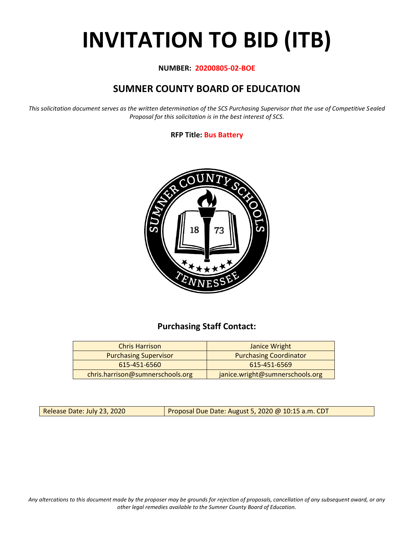# **INVITATION TO BID (ITB)**

#### **NUMBER: 20200805-02-BOE**

# **SUMNER COUNTY BOARD OF EDUCATION**

*This solicitation document serves as the written determination of the SCS Purchasing Supervisor that the use of Competitive Sealed Proposal for this solicitation is in the best interest of SCS.*

#### **RFP Title: Bus Battery**



## **Purchasing Staff Contact:**

| <b>Chris Harrison</b>            | Janice Wright                   |
|----------------------------------|---------------------------------|
| <b>Purchasing Supervisor</b>     | <b>Purchasing Coordinator</b>   |
| 615-451-6560                     | 615-451-6569                    |
| chris.harrison@sumnerschools.org | janice.wright@sumnerschools.org |

Release Date: July 23, 2020 **Proposal Due Date: August 5, 2020 @ 10:15 a.m. CDT** 

*Any altercations to this document made by the proposer may be grounds for rejection of proposals, cancellation of any subsequent award, or any other legal remedies available to the Sumner County Board of Education.*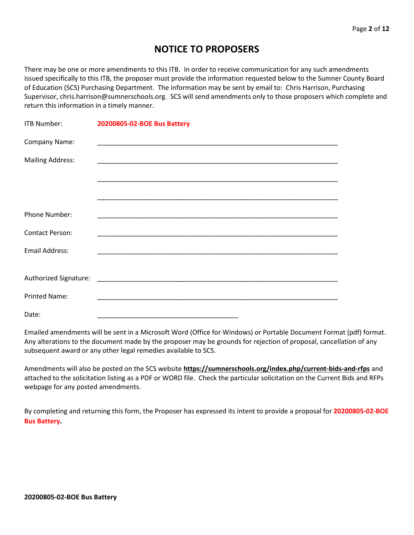## **NOTICE TO PROPOSERS**

There may be one or more amendments to this ITB. In order to receive communication for any such amendments issued specifically to this ITB, the proposer must provide the information requested below to the Sumner County Board of Education (SCS) Purchasing Department. The information may be sent by email to: Chris Harrison, Purchasing Supervisor, chris.harrison@sumnerschools.org. SCS will send amendments only to those proposers which complete and return this information in a timely manner.

| ITB Number:             | 20200805-02-BOE Bus Battery                                 |
|-------------------------|-------------------------------------------------------------|
| Company Name:           |                                                             |
| <b>Mailing Address:</b> |                                                             |
|                         |                                                             |
|                         |                                                             |
| Phone Number:           |                                                             |
| <b>Contact Person:</b>  | <u> 1989 - Johann Stoff, amerikansk politiker (d. 1989)</u> |
| <b>Email Address:</b>   |                                                             |
|                         |                                                             |
|                         |                                                             |
| <b>Printed Name:</b>    |                                                             |
| Date:                   |                                                             |

Emailed amendments will be sent in a Microsoft Word (Office for Windows) or Portable Document Format (pdf) format. Any alterations to the document made by the proposer may be grounds for rejection of proposal, cancellation of any subsequent award or any other legal remedies available to SCS.

Amendments will also be posted on the SCS website **https://sumnerschools.org/index.php/current-bids-and-rfps** and attached to the solicitation listing as a PDF or WORD file. Check the particular solicitation on the Current Bids and RFPs webpage for any posted amendments.

By completing and returning this form, the Proposer has expressed its intent to provide a proposal for **20200805-02-BOE Bus Battery.**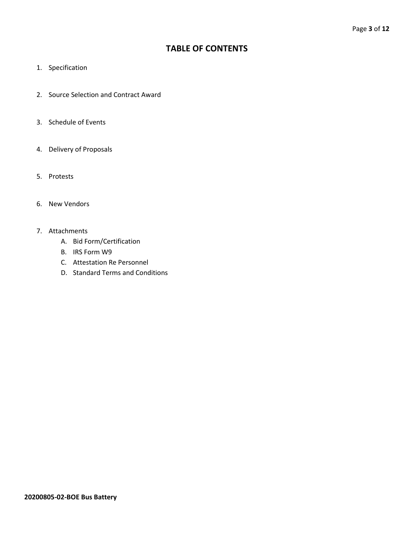## **TABLE OF CONTENTS**

- 1. Specification
- 2. Source Selection and Contract Award
- 3. Schedule of Events
- 4. Delivery of Proposals
- 5. Protests
- 6. New Vendors
- 7. Attachments
	- A. Bid Form/Certification
	- B. IRS Form W9
	- C. Attestation Re Personnel
	- D. Standard Terms and Conditions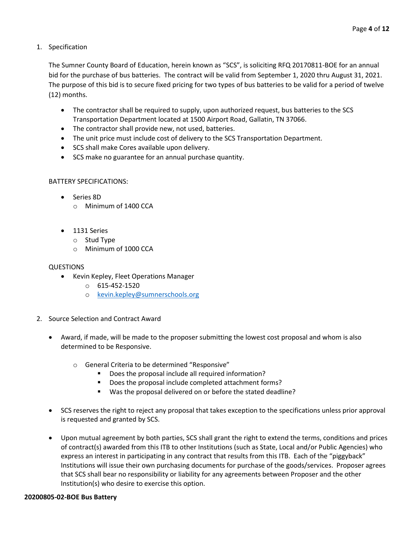1. Specification

The Sumner County Board of Education, herein known as "SCS", is soliciting RFQ 20170811-BOE for an annual bid for the purchase of bus batteries. The contract will be valid from September 1, 2020 thru August 31, 2021. The purpose of this bid is to secure fixed pricing for two types of bus batteries to be valid for a period of twelve (12) months.

- The contractor shall be required to supply, upon authorized request, bus batteries to the SCS Transportation Department located at 1500 Airport Road, Gallatin, TN 37066.
- The contractor shall provide new, not used, batteries.
- The unit price must include cost of delivery to the SCS Transportation Department.
- SCS shall make Cores available upon delivery.
- SCS make no guarantee for an annual purchase quantity.

#### BATTERY SPECIFICATIONS:

- Series 8D
	- o Minimum of 1400 CCA
- 1131 Series
	- o Stud Type
	- o Minimum of 1000 CCA

#### QUESTIONS

- Kevin Kepley, Fleet Operations Manager
	- $O$  615-452-1520
	- o [kevin.kepley@sumnerschools.org](mailto:kevin.kepley@sumnerschools.org)
- 2. Source Selection and Contract Award
	- Award, if made, will be made to the proposer submitting the lowest cost proposal and whom is also determined to be Responsive.
		- o General Criteria to be determined "Responsive"
			- Does the proposal include all required information?
			- Does the proposal include completed attachment forms?
			- Was the proposal delivered on or before the stated deadline?
	- SCS reserves the right to reject any proposal that takes exception to the specifications unless prior approval is requested and granted by SCS.
	- Upon mutual agreement by both parties, SCS shall grant the right to extend the terms, conditions and prices of contract(s) awarded from this ITB to other Institutions (such as State, Local and/or Public Agencies) who express an interest in participating in any contract that results from this ITB. Each of the "piggyback" Institutions will issue their own purchasing documents for purchase of the goods/services. Proposer agrees that SCS shall bear no responsibility or liability for any agreements between Proposer and the other Institution(s) who desire to exercise this option.

#### **20200805-02-BOE Bus Battery**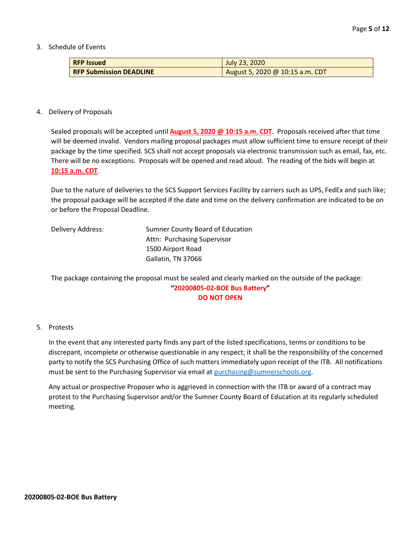3. Schedule of Events

| <b>RFP Issued</b>              | July 23, 2020                   |
|--------------------------------|---------------------------------|
| <b>RFP Submission DEADLINE</b> | August 5, 2020 @ 10:15 a.m. CDT |

#### 4. Delivery of Proposals

Sealed proposals will be accepted until **August 5, 2020 @ 10:15 a.m. CDT**. Proposals received after that time will be deemed invalid. Vendors mailing proposal packages must allow sufficient time to ensure receipt of their package by the time specified. SCS shall not accept proposals via electronic transmission such as email, fax, etc. There will be no exceptions. Proposals will be opened and read aloud. The reading of the bids will begin at **10:15 a.m. CDT**.

Due to the nature of deliveries to the SCS Support Services Facility by carriers such as UPS, FedEx and such like; the proposal package will be accepted if the date and time on the delivery confirmation are indicated to be on or before the Proposal Deadline.

| Delivery Address: | Sumner County Board of Education |  |
|-------------------|----------------------------------|--|
|                   | Attn: Purchasing Supervisor      |  |
|                   | 1500 Airport Road                |  |
|                   | Gallatin, TN 37066               |  |

The package containing the proposal must be sealed and clearly marked on the outside of the package: **"20200805-02-BOE Bus Battery" DO NOT OPEN**

#### 5. Protests

In the event that any interested party finds any part of the listed specifications, terms or conditions to be discrepant, incomplete or otherwise questionable in any respect; it shall be the responsibility of the concerned party to notify the SCS Purchasing Office of such matters immediately upon receipt of the ITB. All notifications must be sent to the Purchasing Supervisor via email at [purchasing@sumnerschools.org.](mailto:purchasing@sumnerschools.org)

Any actual or prospective Proposer who is aggrieved in connection with the ITB or award of a contract may protest to the Purchasing Supervisor and/or the Sumner County Board of Education at its regularly scheduled meeting.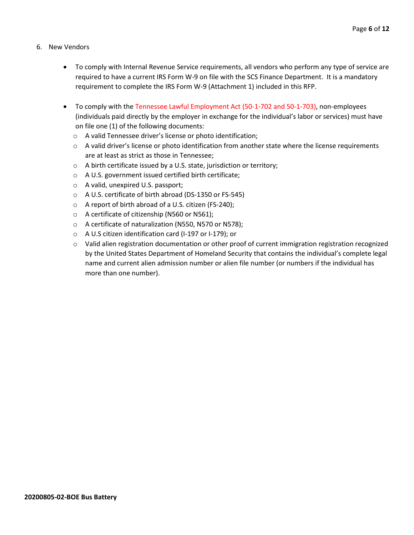- 6. New Vendors
	- To comply with Internal Revenue Service requirements, all vendors who perform any type of service are required to have a current IRS Form W-9 on file with the SCS Finance Department. It is a mandatory requirement to complete the IRS Form W-9 (Attachment 1) included in this RFP.
	- To comply with the Tennessee Lawful Employment Act (50-1-702 and 50-1-703), non-employees (individuals paid directly by the employer in exchange for the individual's labor or services) must have on file one (1) of the following documents:
		- o A valid Tennessee driver's license or photo identification;
		- $\circ$  A valid driver's license or photo identification from another state where the license requirements are at least as strict as those in Tennessee;
		- o A birth certificate issued by a U.S. state, jurisdiction or territory;
		- o A U.S. government issued certified birth certificate;
		- o A valid, unexpired U.S. passport;
		- o A U.S. certificate of birth abroad (DS-1350 or FS-545)
		- o A report of birth abroad of a U.S. citizen (FS-240);
		- o A certificate of citizenship (N560 or N561);
		- o A certificate of naturalization (N550, N570 or N578);
		- o A U.S citizen identification card (I-197 or I-179); or
		- $\circ$  Valid alien registration documentation or other proof of current immigration registration recognized by the United States Department of Homeland Security that contains the individual's complete legal name and current alien admission number or alien file number (or numbers if the individual has more than one number).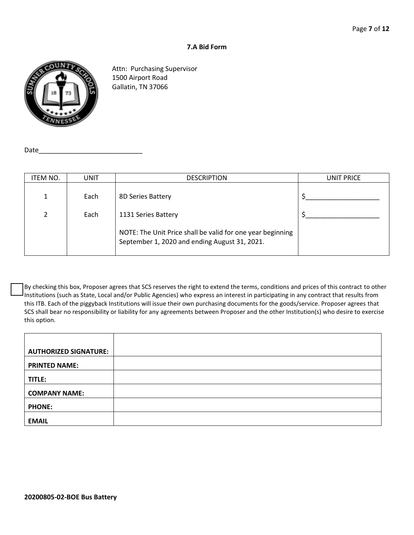#### **7.A Bid Form**



Attn: Purchasing Supervisor 1500 Airport Road Gallatin, TN 37066

Date

| ITEM NO.       | UNIT | <b>DESCRIPTION</b>                                                                                          | UNIT PRICE |
|----------------|------|-------------------------------------------------------------------------------------------------------------|------------|
|                | Each | 8D Series Battery                                                                                           |            |
| $\overline{2}$ | Each | 1131 Series Battery                                                                                         |            |
|                |      | NOTE: The Unit Price shall be valid for one year beginning<br>September 1, 2020 and ending August 31, 2021. |            |

By checking this box, Proposer agrees that SCS reserves the right to extend the terms, conditions and prices of this contract to other Institutions (such as State, Local and/or Public Agencies) who express an interest in participating in any contract that results from this ITB. Each of the piggyback Institutions will issue their own purchasing documents for the goods/service. Proposer agrees that SCS shall bear no responsibility or liability for any agreements between Proposer and the other Institution(s) who desire to exercise this option.

| <b>AUTHORIZED SIGNATURE:</b> |  |
|------------------------------|--|
| <b>PRINTED NAME:</b>         |  |
| TITLE:                       |  |
| <b>COMPANY NAME:</b>         |  |
| <b>PHONE:</b>                |  |
| <b>EMAIL</b>                 |  |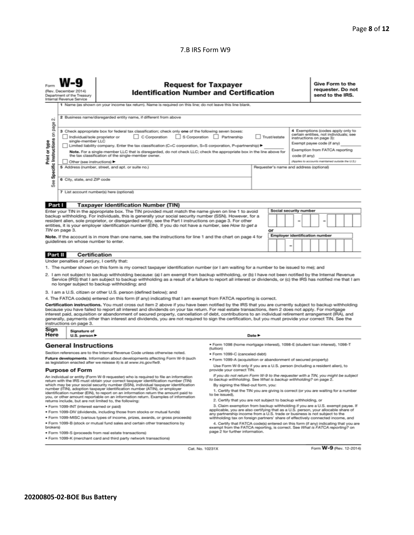#### 7.B IRS Form W9

|                                                                                                                                                                                                                                                                                                                                                                                                                                                                                                                                                                                                                                                                                                                                                                                                                                                                                                                                                                                                                                                                                                                     | <b>Request for Taxpayer</b><br>(Rev. December 2014)<br><b>Identification Number and Certification</b><br>Department of the Treasury<br>Internal Revenue Service<br>1 Name (as shown on your income tax return). Name is required on this line; do not leave this line blank. |                                                                                                                                                                                                                                                                                                                                                                                                                                                                                                                                                                                                                               |                                                                                                                                                                                                                                                                                                                                                                       |                            |    |  |  |                                       | Give Form to the<br>requester. Do not<br>send to the IRS. |  |  |  |  |
|---------------------------------------------------------------------------------------------------------------------------------------------------------------------------------------------------------------------------------------------------------------------------------------------------------------------------------------------------------------------------------------------------------------------------------------------------------------------------------------------------------------------------------------------------------------------------------------------------------------------------------------------------------------------------------------------------------------------------------------------------------------------------------------------------------------------------------------------------------------------------------------------------------------------------------------------------------------------------------------------------------------------------------------------------------------------------------------------------------------------|------------------------------------------------------------------------------------------------------------------------------------------------------------------------------------------------------------------------------------------------------------------------------|-------------------------------------------------------------------------------------------------------------------------------------------------------------------------------------------------------------------------------------------------------------------------------------------------------------------------------------------------------------------------------------------------------------------------------------------------------------------------------------------------------------------------------------------------------------------------------------------------------------------------------|-----------------------------------------------------------------------------------------------------------------------------------------------------------------------------------------------------------------------------------------------------------------------------------------------------------------------------------------------------------------------|----------------------------|----|--|--|---------------------------------------|-----------------------------------------------------------|--|--|--|--|
| 2 Business name/disregarded entity name, if different from above<br>σû<br>page<br>4 Exemptions (codes apply only to<br>3 Check appropriate box for federal tax classification; check only one of the following seven boxes:<br>Specific Instructions on<br>certain entities, not individuals; see<br>C Corporation<br>S Corporation Partnership<br>Individual/sole proprietor or<br>Trust/estate<br>instructions on page 3):<br>single-member LLC<br>Print or type<br>Exempt payee code (if any)<br>Limited liability company. Enter the tax classification (C=C corporation, S=S corporation, P=partnership) ▶<br>Exemption from FATCA reporting<br>Note. For a single-member LLC that is disregarded, do not check LLC; check the appropriate box in the line above for<br>the tax classification of the single-member owner.<br>code (if anv)<br>(Applies to accounts maintained outside the U.S.)<br>Other (see instructions)<br>5 Address (number, street, and apt. or suite no.)<br>Requester's name and address (optional)<br>6 City, state, and ZIP code<br>See<br>7 List account number(s) here (optional) |                                                                                                                                                                                                                                                                              |                                                                                                                                                                                                                                                                                                                                                                                                                                                                                                                                                                                                                               |                                                                                                                                                                                                                                                                                                                                                                       |                            |    |  |  |                                       |                                                           |  |  |  |  |
| Part I                                                                                                                                                                                                                                                                                                                                                                                                                                                                                                                                                                                                                                                                                                                                                                                                                                                                                                                                                                                                                                                                                                              |                                                                                                                                                                                                                                                                              | <b>Taxpayer Identification Number (TIN)</b>                                                                                                                                                                                                                                                                                                                                                                                                                                                                                                                                                                                   |                                                                                                                                                                                                                                                                                                                                                                       |                            |    |  |  |                                       |                                                           |  |  |  |  |
|                                                                                                                                                                                                                                                                                                                                                                                                                                                                                                                                                                                                                                                                                                                                                                                                                                                                                                                                                                                                                                                                                                                     |                                                                                                                                                                                                                                                                              |                                                                                                                                                                                                                                                                                                                                                                                                                                                                                                                                                                                                                               |                                                                                                                                                                                                                                                                                                                                                                       |                            |    |  |  | Social security number                |                                                           |  |  |  |  |
| Enter your TIN in the appropriate box. The TIN provided must match the name given on line 1 to avoid<br>backup withholding. For individuals, this is generally your social security number (SSN). However, for a<br>resident alien, sole proprietor, or disregarded entity, see the Part I instructions on page 3. For other<br>entities, it is your employer identification number (EIN). If you do not have a number, see How to get a<br>TIN on page 3.                                                                                                                                                                                                                                                                                                                                                                                                                                                                                                                                                                                                                                                          |                                                                                                                                                                                                                                                                              |                                                                                                                                                                                                                                                                                                                                                                                                                                                                                                                                                                                                                               |                                                                                                                                                                                                                                                                                                                                                                       |                            | or |  |  |                                       |                                                           |  |  |  |  |
|                                                                                                                                                                                                                                                                                                                                                                                                                                                                                                                                                                                                                                                                                                                                                                                                                                                                                                                                                                                                                                                                                                                     | guidelines on whose number to enter.                                                                                                                                                                                                                                         | Note. If the account is in more than one name, see the instructions for line 1 and the chart on page 4 for                                                                                                                                                                                                                                                                                                                                                                                                                                                                                                                    |                                                                                                                                                                                                                                                                                                                                                                       |                            |    |  |  | <b>Employer identification number</b> |                                                           |  |  |  |  |
| <b>Part II</b>                                                                                                                                                                                                                                                                                                                                                                                                                                                                                                                                                                                                                                                                                                                                                                                                                                                                                                                                                                                                                                                                                                      |                                                                                                                                                                                                                                                                              | <b>Certification</b>                                                                                                                                                                                                                                                                                                                                                                                                                                                                                                                                                                                                          |                                                                                                                                                                                                                                                                                                                                                                       |                            |    |  |  |                                       |                                                           |  |  |  |  |
| Under penalties of perjury, I certify that:<br>1. The number shown on this form is my correct taxpayer identification number (or I am waiting for a number to be issued to me); and<br>2. I am not subject to backup withholding because: (a) I am exempt from backup withholding, or (b) I have not been notified by the Internal Revenue<br>Service (IRS) that I am subject to backup withholding as a result of a failure to report all interest or dividends, or (c) the IRS has notified me that I am<br>no longer subject to backup withholding; and<br>3. I am a U.S. citizen or other U.S. person (defined below); and                                                                                                                                                                                                                                                                                                                                                                                                                                                                                      |                                                                                                                                                                                                                                                                              |                                                                                                                                                                                                                                                                                                                                                                                                                                                                                                                                                                                                                               |                                                                                                                                                                                                                                                                                                                                                                       |                            |    |  |  |                                       |                                                           |  |  |  |  |
|                                                                                                                                                                                                                                                                                                                                                                                                                                                                                                                                                                                                                                                                                                                                                                                                                                                                                                                                                                                                                                                                                                                     |                                                                                                                                                                                                                                                                              | 4. The FATCA code(s) entered on this form (if any) indicating that I am exempt from FATCA reporting is correct.                                                                                                                                                                                                                                                                                                                                                                                                                                                                                                               |                                                                                                                                                                                                                                                                                                                                                                       |                            |    |  |  |                                       |                                                           |  |  |  |  |
|                                                                                                                                                                                                                                                                                                                                                                                                                                                                                                                                                                                                                                                                                                                                                                                                                                                                                                                                                                                                                                                                                                                     | instructions on page 3.                                                                                                                                                                                                                                                      | Certification instructions. You must cross out item 2 above if you have been notified by the IRS that you are currently subject to backup withholding<br>because you have failed to report all interest and dividends on your tax return. For real estate transactions, item 2 does not apply. For mortgage<br>interest paid, acquisition or abandonment of secured property, cancellation of debt, contributions to an individual retirement arrangement (IRA), and<br>generally, payments other than interest and dividends, you are not required to sign the certification, but you must provide your correct TIN. See the |                                                                                                                                                                                                                                                                                                                                                                       |                            |    |  |  |                                       |                                                           |  |  |  |  |
| Sign<br>Here                                                                                                                                                                                                                                                                                                                                                                                                                                                                                                                                                                                                                                                                                                                                                                                                                                                                                                                                                                                                                                                                                                        | Signature of<br>U.S. person $\blacktriangleright$                                                                                                                                                                                                                            |                                                                                                                                                                                                                                                                                                                                                                                                                                                                                                                                                                                                                               |                                                                                                                                                                                                                                                                                                                                                                       | Date $\blacktriangleright$ |    |  |  |                                       |                                                           |  |  |  |  |
|                                                                                                                                                                                                                                                                                                                                                                                                                                                                                                                                                                                                                                                                                                                                                                                                                                                                                                                                                                                                                                                                                                                     | <b>General Instructions</b>                                                                                                                                                                                                                                                  |                                                                                                                                                                                                                                                                                                                                                                                                                                                                                                                                                                                                                               | · Form 1098 (home mortgage interest), 1098-E (student loan interest), 1098-T<br>(tuition)                                                                                                                                                                                                                                                                             |                            |    |  |  |                                       |                                                           |  |  |  |  |
|                                                                                                                                                                                                                                                                                                                                                                                                                                                                                                                                                                                                                                                                                                                                                                                                                                                                                                                                                                                                                                                                                                                     |                                                                                                                                                                                                                                                                              | Section references are to the Internal Revenue Code unless otherwise noted.                                                                                                                                                                                                                                                                                                                                                                                                                                                                                                                                                   | • Form 1099-C (canceled debt)                                                                                                                                                                                                                                                                                                                                         |                            |    |  |  |                                       |                                                           |  |  |  |  |
| Future developments. Information about developments affecting Form W-9 (such<br>as legislation enacted after we release it) is at www.irs.gov/fw9.                                                                                                                                                                                                                                                                                                                                                                                                                                                                                                                                                                                                                                                                                                                                                                                                                                                                                                                                                                  |                                                                                                                                                                                                                                                                              |                                                                                                                                                                                                                                                                                                                                                                                                                                                                                                                                                                                                                               | . Form 1099-A (acquisition or abandonment of secured property)                                                                                                                                                                                                                                                                                                        |                            |    |  |  |                                       |                                                           |  |  |  |  |
| Use Form W-9 only if you are a U.S. person (including a resident alien), to<br><b>Purpose of Form</b><br>provide your correct TIN.                                                                                                                                                                                                                                                                                                                                                                                                                                                                                                                                                                                                                                                                                                                                                                                                                                                                                                                                                                                  |                                                                                                                                                                                                                                                                              |                                                                                                                                                                                                                                                                                                                                                                                                                                                                                                                                                                                                                               |                                                                                                                                                                                                                                                                                                                                                                       |                            |    |  |  |                                       |                                                           |  |  |  |  |
| An individual or entity (Form W-9 requester) who is required to file an information<br>return with the IRS must obtain your correct taxpayer identification number (TIN)<br>which may be your social security number (SSN), individual taxpayer identification<br>number (ITIN), adoption taxpayer identification number (ATIN), or employer<br>identification number (EIN), to report on an information return the amount paid to<br>you, or other amount reportable on an information return. Examples of information                                                                                                                                                                                                                                                                                                                                                                                                                                                                                                                                                                                             |                                                                                                                                                                                                                                                                              |                                                                                                                                                                                                                                                                                                                                                                                                                                                                                                                                                                                                                               | If you do not return Form W-9 to the requester with a TIN, you might be subject<br>to backup withholding. See What is backup withholding? on page 2.<br>By signing the filled-out form, you:<br>1. Certify that the TIN you are giving is correct (or you are waiting for a number<br>to be issued).<br>2. Certify that you are not subject to backup withholding, or |                            |    |  |  |                                       |                                                           |  |  |  |  |
| returns include, but are not limited to, the following:<br>· Form 1099-INT (interest earned or paid)                                                                                                                                                                                                                                                                                                                                                                                                                                                                                                                                                                                                                                                                                                                                                                                                                                                                                                                                                                                                                |                                                                                                                                                                                                                                                                              |                                                                                                                                                                                                                                                                                                                                                                                                                                                                                                                                                                                                                               | 3. Claim exemption from backup withholding if you are a U.S. exempt payee. If                                                                                                                                                                                                                                                                                         |                            |    |  |  |                                       |                                                           |  |  |  |  |
| . Form 1099-DIV (dividends, including those from stocks or mutual funds)                                                                                                                                                                                                                                                                                                                                                                                                                                                                                                                                                                                                                                                                                                                                                                                                                                                                                                                                                                                                                                            |                                                                                                                                                                                                                                                                              |                                                                                                                                                                                                                                                                                                                                                                                                                                                                                                                                                                                                                               | applicable, you are also certifying that as a U.S. person, your allocable share of<br>any partnership income from a U.S. trade or business is not subject to the                                                                                                                                                                                                      |                            |    |  |  |                                       |                                                           |  |  |  |  |
|                                                                                                                                                                                                                                                                                                                                                                                                                                                                                                                                                                                                                                                                                                                                                                                                                                                                                                                                                                                                                                                                                                                     |                                                                                                                                                                                                                                                                              | . Form 1099-MISC (various types of income, prizes, awards, or gross proceeds)                                                                                                                                                                                                                                                                                                                                                                                                                                                                                                                                                 | withholding tax on foreign partners' share of effectively connected income, and                                                                                                                                                                                                                                                                                       |                            |    |  |  |                                       |                                                           |  |  |  |  |
| . Form 1099-B (stock or mutual fund sales and certain other transactions by<br>brokers)<br>· Form 1099-S (proceeds from real estate transactions)                                                                                                                                                                                                                                                                                                                                                                                                                                                                                                                                                                                                                                                                                                                                                                                                                                                                                                                                                                   |                                                                                                                                                                                                                                                                              |                                                                                                                                                                                                                                                                                                                                                                                                                                                                                                                                                                                                                               | 4. Certify that FATCA code(s) entered on this form (if any) indicating that you are<br>exempt from the FATCA reporting, is correct. See What is FATCA reporting? on<br>page 2 for further information.                                                                                                                                                                |                            |    |  |  |                                       |                                                           |  |  |  |  |

Cat. No. 10231X

Form W-9 (Rev. 12-2014)

· Form 1099-K (merchant card and third party network transactions)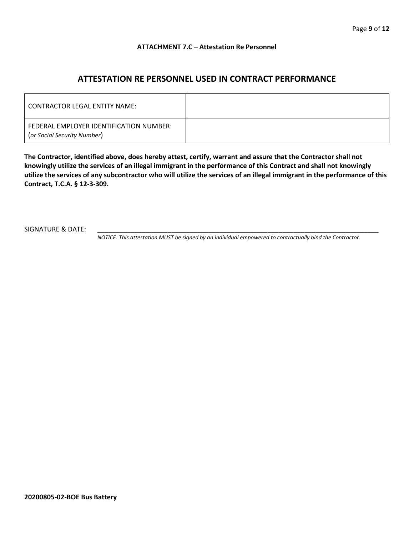#### **ATTACHMENT 7.C – Attestation Re Personnel**

## **ATTESTATION RE PERSONNEL USED IN CONTRACT PERFORMANCE**

| CONTRACTOR LEGAL ENTITY NAME:                                          |  |
|------------------------------------------------------------------------|--|
| FEDERAL EMPLOYER IDENTIFICATION NUMBER:<br>(or Social Security Number) |  |

**The Contractor, identified above, does hereby attest, certify, warrant and assure that the Contractor shall not knowingly utilize the services of an illegal immigrant in the performance of this Contract and shall not knowingly utilize the services of any subcontractor who will utilize the services of an illegal immigrant in the performance of this Contract, T.C.A. § 12-3-309.**

SIGNATURE & DATE:

*NOTICE: This attestation MUST be signed by an individual empowered to contractually bind the Contractor.*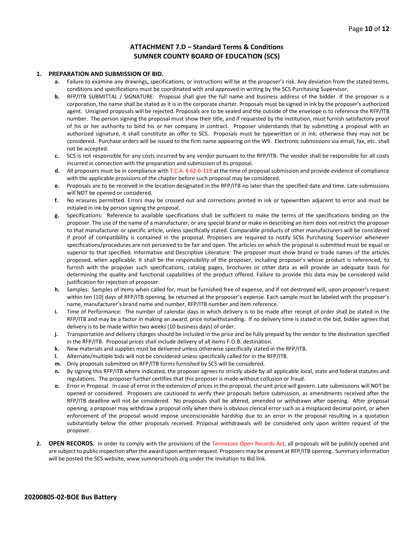#### **ATTACHMENT 7.D – Standard Terms & Conditions SUMNER COUNTY BOARD OF EDUCATION (SCS)**

#### **1. PREPARATION AND SUBMISSION OF BID.**

- **a.** Failure to examine any drawings**,** specifications, or instructions will be at the proposer's risk. Any deviation from the stated terms, conditions and specifications must be coordinated with and approved in writing by the SCS Purchasing Supervisor.
- **b.** RFP/ITB SUBMITTAL / SIGNATURE: Proposal shall give the full name and business address of the bidder. If the proposer is a corporation, the name shall be stated as it is in the corporate charter. Proposals must be signed in ink by the proposer's authorized agent. Unsigned proposals will be rejected. Proposals are to be sealed and the outside of the envelope is to reference the RFP/ITB number. The person signing the proposal must show their title, and if requested by the institution, must furnish satisfactory proof of his or her authority to bind his or her company in contract. Proposer understands that by submitting a proposal with an authorized signature, it shall constitute an offer to SCS. Proposals must be typewritten or in ink; otherwise they may not be considered. Purchase orders will be issued to the firm name appearing on the W9. Electronic submissions via email, fax, etc. shall not be accepted.
- **c.** SCS is not responsible for any costs incurred by any vendor pursuant to the RFP/ITB. The vendor shall be responsible for all costs incurred in connection with the preparation and submission of its proposal.
- **d.** All proposers must be in compliance with T.C.A. § 62-6-119 at the time of proposal submission and provide evidence of compliance with the applicable provisions of the chapter before such proposal may be considered.
- **e.** Proposals are to be received in the location designated in the RFP/ITB no later than the specified date and time. Late submissions will NOT be opened or considered.
- **f.** No erasures permitted. Errors may be crossed out and corrections printed in ink or typewritten adjacent to error and must be initialed in ink by person signing the proposal.
- **g.** Specifications: Reference to available specifications shall be sufficient to make the terms of the specifications binding on the proposer. The use of the name of a manufacturer, or any special brand or make in describing an item does not restrict the proposer to that manufacturer or specific article, unless specifically stated. Comparable products of other manufacturers will be considered if proof of compatibility is contained in the proposal. Proposers are required to notify SCSs Purchasing Supervisor whenever specifications/procedures are not perceived to be fair and open. The articles on which the proposal is submitted must be equal or superior to that specified. Informative and Descriptive Literature: The proposer must show brand or trade names of the articles proposed, when applicable. It shall be the responsibility of the proposer, including proposer's whose product is referenced, to furnish with the proposer such specifications, catalog pages, brochures or other data as will provide an adequate basis for determining the quality and functional capabilities of the product offered. Failure to provide this data may be considered valid justification for rejection of proposer.
- **h.** Samples: Samples of items when called for, must be furnished free of expense, and if not destroyed will, upon proposer's request within ten (10) days of RFP/ITB opening, be returned at the proposer's expense. Each sample must be labeled with the proposer's name, manufacturer's brand name and number, RFP/ITB number and item reference.
- **i.** Time of Performance: The number of calendar days in which delivery is to be made after receipt of order shall be stated in the RFP/ITB and may be a factor in making an award, price notwithstanding. If no delivery time is stated in the bid, bidder agrees that delivery is to be made within two weeks (10 business days) of order.
- **j.** Transportation and delivery charges should be included in the price and be fully prepaid by the vendor to the destination specified in the RFP/ITB. Proposal prices shall include delivery of all items F.O.B. destination.
- **k.** New materials and supplies must be delivered unless otherwise specifically stated in the RFP/ITB.
- **l.** Alternate/multiple bids will not be considered unless specifically called for in the RFP/ITB.
- **m.** Only proposals submitted on RFP/ITB forms furnished by SCS will be considered.
- **n.** By signing this RFP/ITB where indicated, the proposer agrees to strictly abide by all applicable local, state and federal statutes and regulations. The proposer further certifies that this proposer is made without collusion or fraud.
- **o.** Error in Proposal. In case of error in the extension of prices in the proposal, the unit price will govern. Late submissions will NOT be opened or considered. Proposers are cautioned to verify their proposals before submission, as amendments received after the RFP/ITB deadline will not be considered. No proposals shall be altered, amended or withdrawn after opening. After proposal opening, a proposer may withdraw a proposal only when there is obvious clerical error such as a misplaced decimal point, or when enforcement of the proposal would impose unconscionable hardship due to an error in the proposal resulting in a quotation substantially below the other proposals received. Proposal withdrawals will be considered only upon written request of the proposer.
- **2. OPEN RECORDS.** In order to comply with the provisions of the Tennessee Open Records Act, all proposals will be publicly opened and are subject to public inspection after the award upon written request. Proposers may be present at RFP/ITB opening. Summary information will be posted the SCS website, www.sumnerschools.org under the Invitation to Bid link.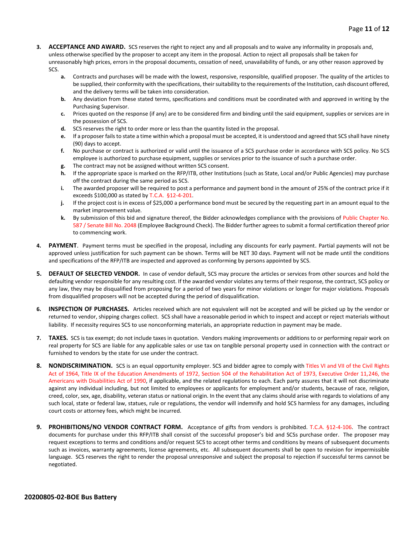- **3. ACCEPTANCE AND AWARD.** SCS reserves the right to reject any and all proposals and to waive any informality in proposals and, unless otherwise specified by the proposer to accept any item in the proposal. Action to reject all proposals shall be taken for unreasonably high prices, errors in the proposal documents, cessation of need, unavailability of funds, or any other reason approved by SCS.
	- **a.** Contracts and purchases will be made with the lowest, responsive, responsible, qualified proposer. The quality of the articles to be supplied, their conformity with the specifications, their suitability to the requirements of the Institution, cash discount offered, and the delivery terms will be taken into consideration.
	- **b.** Any deviation from these stated terms, specifications and conditions must be coordinated with and approved in writing by the Purchasing Supervisor.
	- **c.** Prices quoted on the response (if any) are to be considered firm and binding until the said equipment, supplies or services are in the possession of SCS.
	- **d.** SCS reserves the right to order more or less than the quantity listed in the proposal.
	- **e.** If a proposer fails to state a time within which a proposal must be accepted, it is understood and agreed that SCS shall have ninety (90) days to accept.
	- **f.** No purchase or contract is authorized or valid until the issuance of a SCS purchase order in accordance with SCS policy. No SCS employee is authorized to purchase equipment, supplies or services prior to the issuance of such a purchase order.
	- **g.** The contract may not be assigned without written SCS consent.
	- **h.** If the appropriate space is marked on the RFP/ITB, other Institutions (such as State, Local and/or Public Agencies) may purchase off the contract during the same period as SCS.
	- **i.** The awarded proposer will be required to post a performance and payment bond in the amount of 25% of the contract price if it exceeds \$100,000 as stated by T.C.A. §12-4-201.
	- **j.** If the project cost is in excess of \$25,000 a performance bond must be secured by the requesting part in an amount equal to the market improvement value.
	- **k.** By submission of this bid and signature thereof, the Bidder acknowledges compliance with the provisions of Public Chapter No. 587 / Senate Bill No. 2048 (Employee Background Check). The Bidder further agrees to submit a formal certification thereof prior to commencing work.
- **4. PAYMENT**. Payment terms must be specified in the proposal, including any discounts for early payment. Partial payments will not be approved unless justification for such payment can be shown. Terms will be NET 30 days. Payment will not be made until the conditions and specifications of the RFP/ITB are inspected and approved as conforming by persons appointed by SCS.
- **5. DEFAULT OF SELECTED VENDOR.** In case of vendor default, SCS may procure the articles or services from other sources and hold the defaulting vendor responsible for any resulting cost. If the awarded vendor violates any terms of their response, the contract, SCS policy or any law, they may be disqualified from proposing for a period of two years for minor violations or longer for major violations. Proposals from disqualified proposers will not be accepted during the period of disqualification.
- **6. INSPECTION OF PURCHASES.** Articles received which are not equivalent will not be accepted and will be picked up by the vendor or returned to vendor, shipping charges collect. SCS shall have a reasonable period in which to inspect and accept or reject materials without liability. If necessity requires SCS to use nonconforming materials, an appropriate reduction in payment may be made.
- **7. TAXES.** SCS is tax exempt; do not include taxes in quotation. Vendors making improvements or additions to or performing repair work on real property for SCS are liable for any applicable sales or use tax on tangible personal property used in connection with the contract or furnished to vendors by the state for use under the contract.
- **8. NONDISCRIMINATION.** SCS is an equal opportunity employer. SCS and bidder agree to comply with Titles VI and VII of the Civil Rights Act of 1964, Title IX of the Education Amendments of 1972, Section 504 of the Rehabilitation Act of 1973, Executive Order 11,246, the Americans with Disabilities Act of 1990, if applicable, and the related regulations to each. Each party assures that it will not discriminate against any individual including, but not limited to employees or applicants for employment and/or students, because of race, religion, creed, color, sex, age, disability, veteran status or national origin. In the event that any claims should arise with regards to violations of any such local, state or federal law, statues, rule or regulations, the vendor will indemnify and hold SCS harmless for any damages, including court costs or attorney fees, which might be incurred.
- **9. PROHIBITIONS/NO VENDOR CONTRACT FORM.** Acceptance of gifts from vendors is prohibited. T.C.A. §12-4-106. The contract documents for purchase under this RFP/ITB shall consist of the successful proposer's bid and SCSs purchase order. The proposer may request exceptions to terms and conditions and/or request SCS to accept other terms and conditions by means of subsequent documents such as invoices, warranty agreements, license agreements, etc. All subsequent documents shall be open to revision for impermissible language. SCS reserves the right to render the proposal unresponsive and subject the proposal to rejection if successful terms cannot be negotiated.